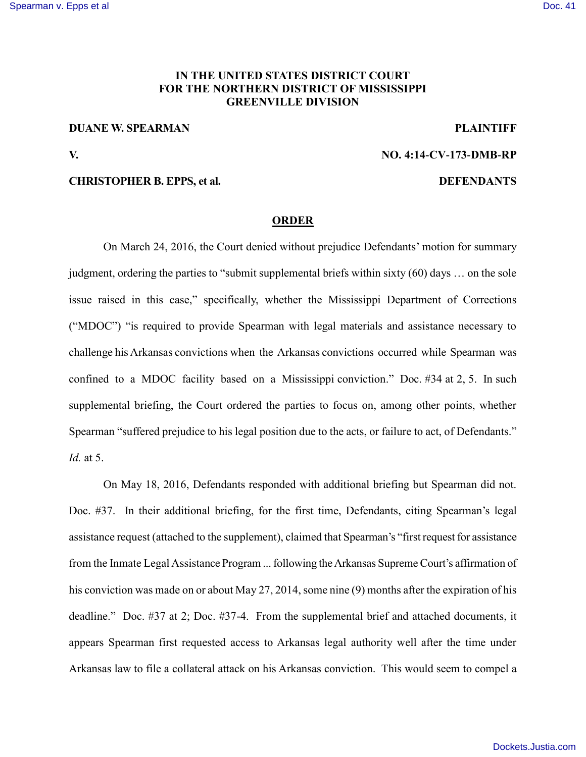## **IN THE UNITED STATES DISTRICT COURT FOR THE NORTHERN DISTRICT OF MISSISSIPPI GREENVILLE DIVISION**

# **DUANE W. SPEARMAN PLAINTIFF**

**V. NO. 4:14-CV-173-DMB-RP**

### **CHRISTOPHER B. EPPS, et al. DEFENDANTS**

### **ORDER**

On March 24, 2016, the Court denied without prejudice Defendants' motion for summary judgment, ordering the parties to "submit supplemental briefs within sixty (60) days … on the sole issue raised in this case," specifically, whether the Mississippi Department of Corrections ("MDOC") "is required to provide Spearman with legal materials and assistance necessary to challenge his Arkansas convictions when the Arkansas convictions occurred while Spearman was confined to a MDOC facility based on a Mississippi conviction." Doc. #34 at 2, 5. In such supplemental briefing, the Court ordered the parties to focus on, among other points, whether Spearman "suffered prejudice to his legal position due to the acts, or failure to act, of Defendants." *Id.* at 5.

On May 18, 2016, Defendants responded with additional briefing but Spearman did not. Doc. #37. In their additional briefing, for the first time, Defendants, citing Spearman's legal assistance request (attached to the supplement), claimed that Spearman's "first request for assistance from the Inmate Legal Assistance Program ... following the Arkansas Supreme Court's affirmation of his conviction was made on or about May 27, 2014, some nine (9) months after the expiration of his deadline." Doc. #37 at 2; Doc. #37-4. From the supplemental brief and attached documents, it appears Spearman first requested access to Arkansas legal authority well after the time under Arkansas law to file a collateral attack on his Arkansas conviction. This would seem to compel a